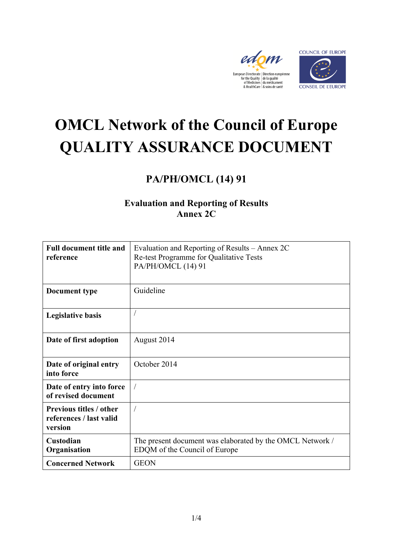



# **OMCL Network of the Council of Europe QUALITY ASSURANCE DOCUMENT**

## **PA/PH/OMCL (14) 91**

### **Evaluation and Reporting of Results Annex 2C**

| <b>Full document title and</b><br>reference                          | Evaluation and Reporting of Results – Annex 2C<br>Re-test Programme for Qualitative Tests<br>PA/PH/OMCL (14) 91 |
|----------------------------------------------------------------------|-----------------------------------------------------------------------------------------------------------------|
| <b>Document type</b>                                                 | Guideline                                                                                                       |
| <b>Legislative basis</b>                                             |                                                                                                                 |
| Date of first adoption                                               | August 2014                                                                                                     |
| Date of original entry<br>into force                                 | October 2014                                                                                                    |
| Date of entry into force<br>of revised document                      | $\sqrt{2}$                                                                                                      |
| <b>Previous titles / other</b><br>references / last valid<br>version |                                                                                                                 |
| Custodian<br>Organisation                                            | The present document was elaborated by the OMCL Network /<br>EDQM of the Council of Europe                      |
| <b>Concerned Network</b>                                             | <b>GEON</b>                                                                                                     |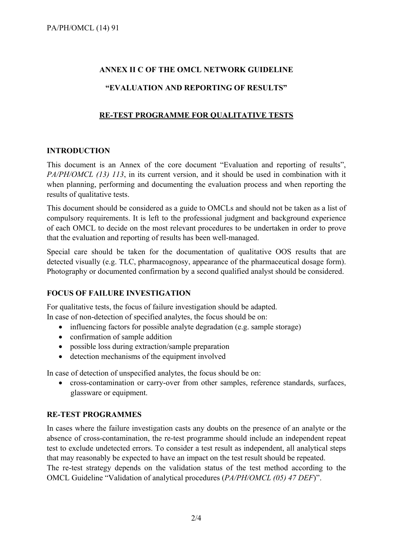#### **ANNEX II C OF THE OMCL NETWORK GUIDELINE**

#### **"EVALUATION AND REPORTING OF RESULTS"**

#### **RE-TEST PROGRAMME FOR QUALITATIVE TESTS**

#### **INTRODUCTION**

This document is an Annex of the core document "Evaluation and reporting of results", *PA/PH/OMCL (13) 113*, in its current version, and it should be used in combination with it when planning, performing and documenting the evaluation process and when reporting the results of qualitative tests.

This document should be considered as a guide to OMCLs and should not be taken as a list of compulsory requirements. It is left to the professional judgment and background experience of each OMCL to decide on the most relevant procedures to be undertaken in order to prove that the evaluation and reporting of results has been well-managed.

Special care should be taken for the documentation of qualitative OOS results that are detected visually (e.g. TLC, pharmacognosy, appearance of the pharmaceutical dosage form). Photography or documented confirmation by a second qualified analyst should be considered.

#### **FOCUS OF FAILURE INVESTIGATION**

For qualitative tests, the focus of failure investigation should be adapted. In case of non-detection of specified analytes, the focus should be on:

- influencing factors for possible analyte degradation (e.g. sample storage)
- confirmation of sample addition
- possible loss during extraction/sample preparation
- detection mechanisms of the equipment involved

In case of detection of unspecified analytes, the focus should be on:

 cross-contamination or carry-over from other samples, reference standards, surfaces, glassware or equipment.

#### **RE-TEST PROGRAMMES**

In cases where the failure investigation casts any doubts on the presence of an analyte or the absence of cross-contamination, the re-test programme should include an independent repeat test to exclude undetected errors. To consider a test result as independent, all analytical steps that may reasonably be expected to have an impact on the test result should be repeated.

The re-test strategy depends on the validation status of the test method according to the OMCL Guideline "Validation of analytical procedures (*PA/PH/OMCL (05) 47 DEF*)".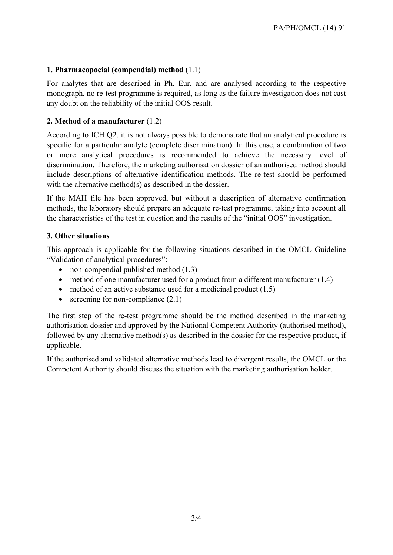#### **1. Pharmacopoeial (compendial) method** (1.1)

For analytes that are described in Ph. Eur. and are analysed according to the respective monograph, no re-test programme is required, as long as the failure investigation does not cast any doubt on the reliability of the initial OOS result.

#### **2. Method of a manufacturer** (1.2)

According to ICH Q2, it is not always possible to demonstrate that an analytical procedure is specific for a particular analyte (complete discrimination). In this case, a combination of two or more analytical procedures is recommended to achieve the necessary level of discrimination. Therefore, the marketing authorisation dossier of an authorised method should include descriptions of alternative identification methods. The re-test should be performed with the alternative method(s) as described in the dossier.

If the MAH file has been approved, but without a description of alternative confirmation methods, the laboratory should prepare an adequate re-test programme, taking into account all the characteristics of the test in question and the results of the "initial OOS" investigation.

#### **3. Other situations**

This approach is applicable for the following situations described in the OMCL Guideline "Validation of analytical procedures":

- non-compendial published method (1.3)
- method of one manufacturer used for a product from a different manufacturer (1.4)
- $\bullet$  method of an active substance used for a medicinal product (1.5)
- screening for non-compliance  $(2.1)$

The first step of the re-test programme should be the method described in the marketing authorisation dossier and approved by the National Competent Authority (authorised method), followed by any alternative method(s) as described in the dossier for the respective product, if applicable.

If the authorised and validated alternative methods lead to divergent results, the OMCL or the Competent Authority should discuss the situation with the marketing authorisation holder.